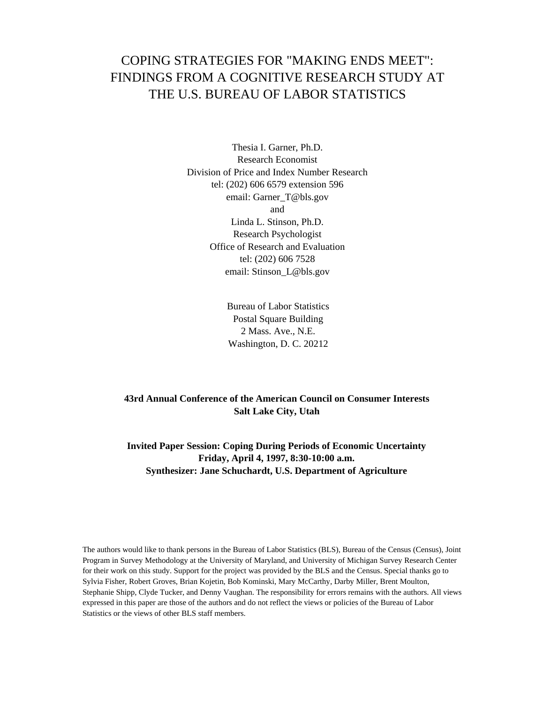# COPING STRATEGIES FOR "MAKING ENDS MEET": FINDINGS FROM A COGNITIVE RESEARCH STUDY AT THE U.S. BUREAU OF LABOR STATISTICS

Thesia I. Garner, Ph.D. Research Economist Division of Price and Index Number Research tel: (202) 606 6579 extension 596 email: Garner\_T@bls.gov and Linda L. Stinson, Ph.D. Research Psychologist Office of Research and Evaluation tel: (202) 606 7528 email: Stinson\_L@bls.gov

> Bureau of Labor Statistics Postal Square Building 2 Mass. Ave., N.E. Washington, D. C. 20212

## **43rd Annual Conference of the American Council on Consumer Interests Salt Lake City, Utah**

## **Invited Paper Session: Coping During Periods of Economic Uncertainty Friday, April 4, 1997, 8:30-10:00 a.m. Synthesizer: Jane Schuchardt, U.S. Department of Agriculture**

The authors would like to thank persons in the Bureau of Labor Statistics (BLS), Bureau of the Census (Census), Joint Program in Survey Methodology at the University of Maryland, and University of Michigan Survey Research Center for their work on this study. Support for the project was provided by the BLS and the Census. Special thanks go to Sylvia Fisher, Robert Groves, Brian Kojetin, Bob Kominski, Mary McCarthy, Darby Miller, Brent Moulton, Stephanie Shipp, Clyde Tucker, and Denny Vaughan. The responsibility for errors remains with the authors. All views expressed in this paper are those of the authors and do not reflect the views or policies of the Bureau of Labor Statistics or the views of other BLS staff members.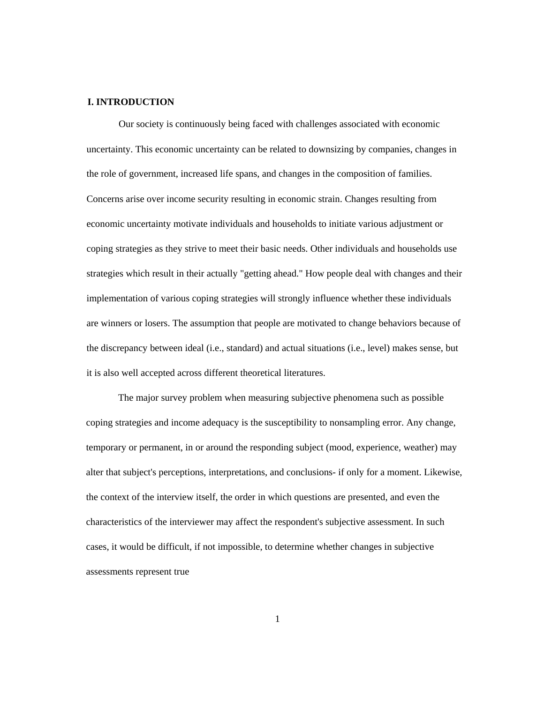### **I. INTRODUCTION**

Our society is continuously being faced with challenges associated with economic uncertainty. This economic uncertainty can be related to downsizing by companies, changes in the role of government, increased life spans, and changes in the composition of families. Concerns arise over income security resulting in economic strain. Changes resulting from economic uncertainty motivate individuals and households to initiate various adjustment or coping strategies as they strive to meet their basic needs. Other individuals and households use strategies which result in their actually "getting ahead." How people deal with changes and their implementation of various coping strategies will strongly influence whether these individuals are winners or losers. The assumption that people are motivated to change behaviors because of the discrepancy between ideal (i.e., standard) and actual situations (i.e., level) makes sense, but it is also well accepted across different theoretical literatures.

The major survey problem when measuring subjective phenomena such as possible coping strategies and income adequacy is the susceptibility to nonsampling error. Any change, temporary or permanent, in or around the responding subject (mood, experience, weather) may alter that subject's perceptions, interpretations, and conclusions- if only for a moment. Likewise, the context of the interview itself, the order in which questions are presented, and even the characteristics of the interviewer may affect the respondent's subjective assessment. In such cases, it would be difficult, if not impossible, to determine whether changes in subjective assessments represent true

1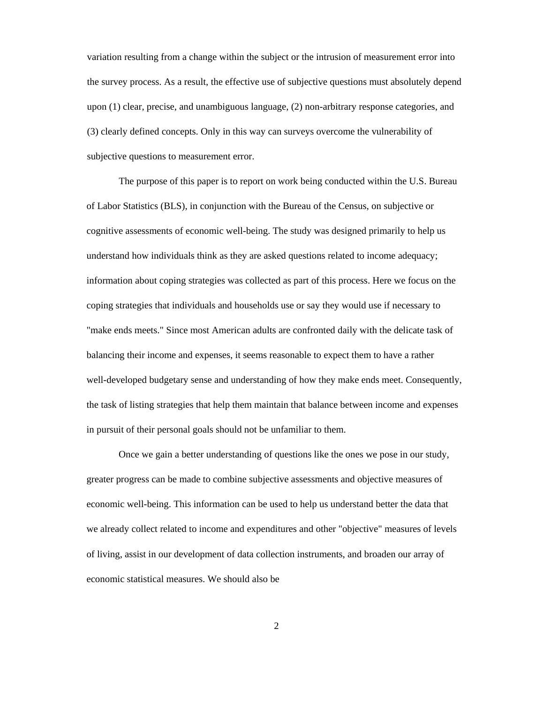variation resulting from a change within the subject or the intrusion of measurement error into the survey process. As a result, the effective use of subjective questions must absolutely depend upon (1) clear, precise, and unambiguous language, (2) non-arbitrary response categories, and (3) clearly defined concepts. Only in this way can surveys overcome the vulnerability of subjective questions to measurement error.

The purpose of this paper is to report on work being conducted within the U.S. Bureau of Labor Statistics (BLS), in conjunction with the Bureau of the Census, on subjective or cognitive assessments of economic well-being. The study was designed primarily to help us understand how individuals think as they are asked questions related to income adequacy; information about coping strategies was collected as part of this process. Here we focus on the coping strategies that individuals and households use or say they would use if necessary to "make ends meets." Since most American adults are confronted daily with the delicate task of balancing their income and expenses, it seems reasonable to expect them to have a rather well-developed budgetary sense and understanding of how they make ends meet. Consequently, the task of listing strategies that help them maintain that balance between income and expenses in pursuit of their personal goals should not be unfamiliar to them.

Once we gain a better understanding of questions like the ones we pose in our study, greater progress can be made to combine subjective assessments and objective measures of economic well-being. This information can be used to help us understand better the data that we already collect related to income and expenditures and other "objective" measures of levels of living, assist in our development of data collection instruments, and broaden our array of economic statistical measures. We should also be

2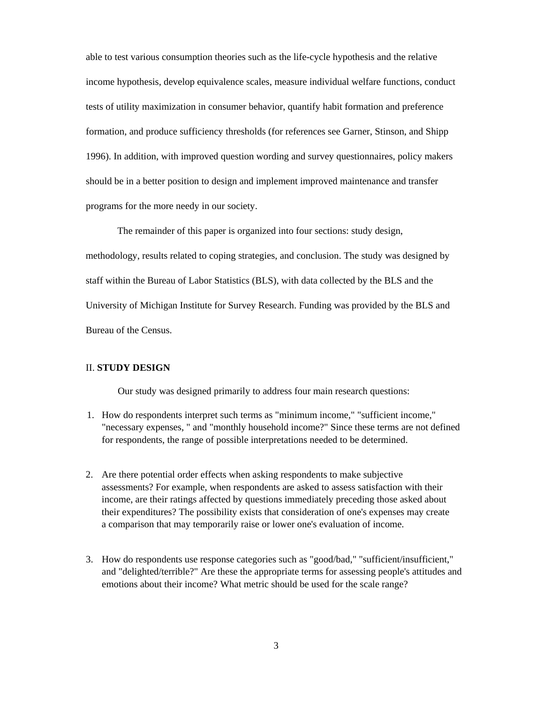able to test various consumption theories such as the life-cycle hypothesis and the relative income hypothesis, develop equivalence scales, measure individual welfare functions, conduct tests of utility maximization in consumer behavior, quantify habit formation and preference formation, and produce sufficiency thresholds (for references see Garner, Stinson, and Shipp 1996). In addition, with improved question wording and survey questionnaires, policy makers should be in a better position to design and implement improved maintenance and transfer programs for the more needy in our society.

The remainder of this paper is organized into four sections: study design, methodology, results related to coping strategies, and conclusion. The study was designed by staff within the Bureau of Labor Statistics (BLS), with data collected by the BLS and the University of Michigan Institute for Survey Research. Funding was provided by the BLS and Bureau of the Census.

### II. **STUDY DESIGN**

Our study was designed primarily to address four main research questions:

- 1. How do respondents interpret such terms as "minimum income," "sufficient income," "necessary expenses, " and "monthly household income?" Since these terms are not defined for respondents, the range of possible interpretations needed to be determined.
- 2. Are there potential order effects when asking respondents to make subjective assessments? For example, when respondents are asked to assess satisfaction with their income, are their ratings affected by questions immediately preceding those asked about their expenditures? The possibility exists that consideration of one's expenses may create a comparison that may temporarily raise or lower one's evaluation of income.
- 3. How do respondents use response categories such as "good/bad," "sufficient/insufficient," and "delighted/terrible?" Are these the appropriate terms for assessing people's attitudes and emotions about their income? What metric should be used for the scale range?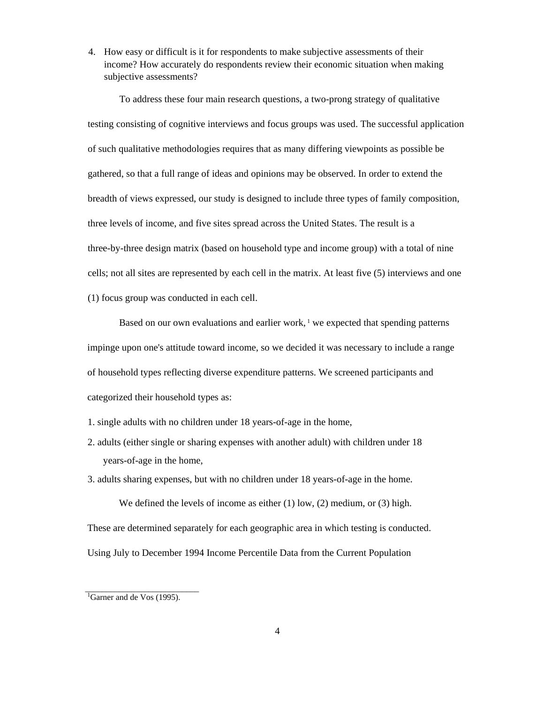4. How easy or difficult is it for respondents to make subjective assessments of their income? How accurately do respondents review their economic situation when making subjective assessments?

To address these four main research questions, a two-prong strategy of qualitative testing consisting of cognitive interviews and focus groups was used. The successful application of such qualitative methodologies requires that as many differing viewpoints as possible be gathered, so that a full range of ideas and opinions may be observed. In order to extend the breadth of views expressed, our study is designed to include three types of family composition, three levels of income, and five sites spread across the United States. The result is a three-by-three design matrix (based on household type and income group) with a total of nine cells; not all sites are represented by each cell in the matrix. At least five (5) interviews and one (1) focus group was conducted in each cell.

Based on our own evaluations and earlier work,  $\frac{1}{1}$  we expected that spending patterns impinge upon one's attitude toward income, so we decided it was necessary to include a range of household types reflecting diverse expenditure patterns. We screened participants and categorized their household types as:

- 1. single adults with no children under 18 years-of-age in the home,
- 2. adults (either single or sharing expenses with another adult) with children under 18 years-of-age in the home,

3. adults sharing expenses, but with no children under 18 years-of-age in the home.

We defined the levels of income as either (1) low, (2) medium, or (3) high. These are determined separately for each geographic area in which testing is conducted. Using July to December 1994 Income Percentile Data from the Current Population

\_\_\_\_\_\_\_\_\_\_\_\_\_\_\_\_\_\_\_\_\_\_\_\_\_\_\_

<sup>&</sup>lt;sup>1</sup>Garner and de Vos (1995).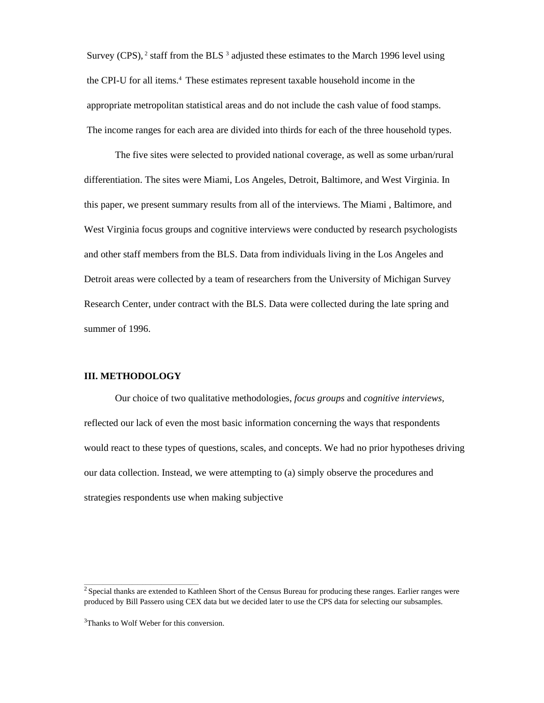Survey (CPS),  $2 \times 1$  staff from the BLS  $3$  adjusted these estimates to the March 1996 level using the CPI-U for all items.<sup>4</sup> These estimates represent taxable household income in the appropriate metropolitan statistical areas and do not include the cash value of food stamps. The income ranges for each area are divided into thirds for each of the three household types.

The five sites were selected to provided national coverage, as well as some urban/rural differentiation. The sites were Miami, Los Angeles, Detroit, Baltimore, and West Virginia. In this paper, we present summary results from all of the interviews. The Miami , Baltimore, and West Virginia focus groups and cognitive interviews were conducted by research psychologists and other staff members from the BLS. Data from individuals living in the Los Angeles and Detroit areas were collected by a team of researchers from the University of Michigan Survey Research Center, under contract with the BLS. Data were collected during the late spring and summer of 1996.

### **III. METHODOLOGY**

Our choice of two qualitative methodologies, *focus groups* and *cognitive interviews,*  reflected our lack of even the most basic information concerning the ways that respondents would react to these types of questions, scales, and concepts. We had no prior hypotheses driving our data collection. Instead, we were attempting to (a) simply observe the procedures and strategies respondents use when making subjective

\_\_\_\_\_\_\_\_\_\_\_\_\_\_\_\_\_\_\_\_\_\_\_\_\_\_\_\_\_\_\_\_\_\_\_\_\_\_\_\_\_\_\_

<sup>&</sup>lt;sup>2</sup> Special thanks are extended to Kathleen Short of the Census Bureau for producing these ranges. Earlier ranges were produced by Bill Passero using CEX data but we decided later to use the CPS data for selecting our subsamples.

<sup>&</sup>lt;sup>3</sup>Thanks to Wolf Weber for this conversion.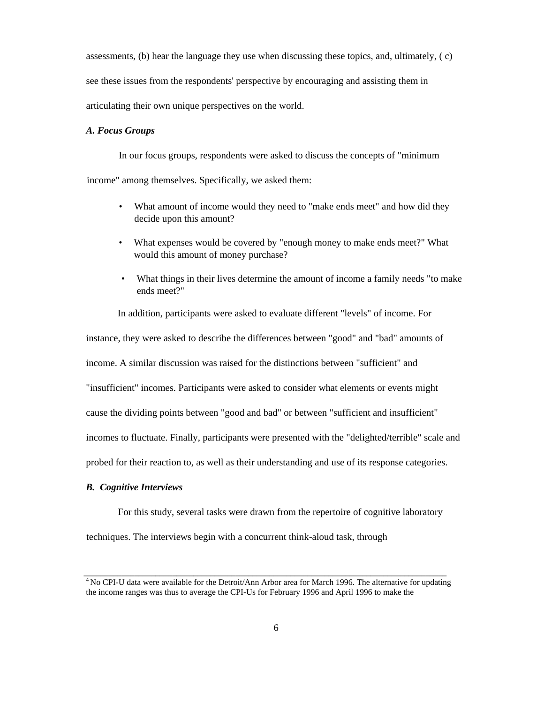assessments, (b) hear the language they use when discussing these topics, and, ultimately, ( c) see these issues from the respondents' perspective by encouraging and assisting them in articulating their own unique perspectives on the world.

#### *A. Focus Groups*

In our focus groups, respondents were asked to discuss the concepts of "minimum income" among themselves. Specifically, we asked them:

- What amount of income would they need to "make ends meet" and how did they decide upon this amount?
- What expenses would be covered by "enough money to make ends meet?" What would this amount of money purchase?
- What things in their lives determine the amount of income a family needs "to make ends meet?"

In addition, participants were asked to evaluate different "levels" of income. For

instance, they were asked to describe the differences between "good" and "bad" amounts of

income. A similar discussion was raised for the distinctions between "sufficient" and

"insufficient" incomes. Participants were asked to consider what elements or events might

cause the dividing points between "good and bad" or between "sufficient and insufficient"

incomes to fluctuate. Finally, participants were presented with the "delighted/terrible" scale and

probed for their reaction to, as well as their understanding and use of its response categories.

#### *B. Cognitive Interviews*

For this study, several tasks were drawn from the repertoire of cognitive laboratory

techniques. The interviews begin with a concurrent think-aloud task, through

\_\_\_\_\_\_\_\_\_\_\_\_\_\_\_\_\_\_\_\_\_\_\_\_\_\_\_\_\_\_\_\_\_\_\_\_\_\_\_\_\_\_\_\_\_\_\_\_\_\_\_\_\_\_\_\_\_\_\_\_\_\_\_\_\_\_\_\_\_\_\_\_\_\_\_\_\_\_\_\_\_\_\_\_\_\_ <sup>4</sup> No CPI-U data were available for the Detroit/Ann Arbor area for March 1996. The alternative for updating the income ranges was thus to average the CPI-Us for February 1996 and April 1996 to make the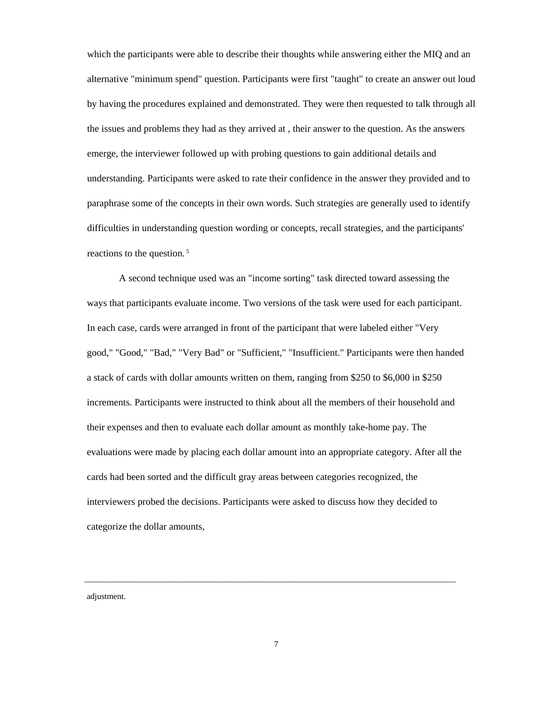which the participants were able to describe their thoughts while answering either the MIQ and an alternative "minimum spend" question. Participants were first "taught" to create an answer out loud by having the procedures explained and demonstrated. They were then requested to talk through all the issues and problems they had as they arrived at , their answer to the question. As the answers emerge, the interviewer followed up with probing questions to gain additional details and understanding. Participants were asked to rate their confidence in the answer they provided and to paraphrase some of the concepts in their own words. Such strategies are generally used to identify difficulties in understanding question wording or concepts, recall strategies, and the participants' reactions to the question. <sup>5</sup>

A second technique used was an "income sorting" task directed toward assessing the ways that participants evaluate income. Two versions of the task were used for each participant. In each case, cards were arranged in front of the participant that were labeled either "Very good," "Good," "Bad," "Very Bad" or "Sufficient," "Insufficient." Participants were then handed a stack of cards with dollar amounts written on them, ranging from \$250 to \$6,000 in \$250 increments. Participants were instructed to think about all the members of their household and their expenses and then to evaluate each dollar amount as monthly take-home pay. The evaluations were made by placing each dollar amount into an appropriate category. After all the cards had been sorted and the difficult gray areas between categories recognized, the interviewers probed the decisions. Participants were asked to discuss how they decided to categorize the dollar amounts,

adjustment.

\_\_\_\_\_\_\_\_\_\_\_\_\_\_\_\_\_\_\_\_\_\_\_\_\_\_\_\_\_\_\_\_\_\_\_\_\_\_\_\_\_\_\_\_\_\_\_\_\_\_\_\_\_\_\_\_\_\_\_\_\_\_\_\_\_\_\_\_\_\_\_\_\_\_\_\_\_\_\_\_\_\_\_\_\_\_\_\_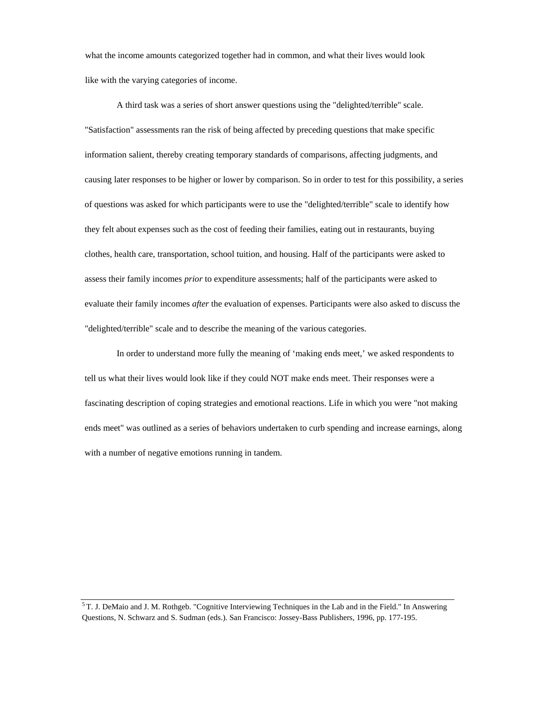what the income amounts categorized together had in common, and what their lives would look like with the varying categories of income.

A third task was a series of short answer questions using the "delighted/terrible" scale. "Satisfaction" assessments ran the risk of being affected by preceding questions that make specific information salient, thereby creating temporary standards of comparisons, affecting judgments, and causing later responses to be higher or lower by comparison. So in order to test for this possibility, a series of questions was asked for which participants were to use the "delighted/terrible" scale to identify how they felt about expenses such as the cost of feeding their families, eating out in restaurants, buying clothes, health care, transportation, school tuition, and housing. Half of the participants were asked to assess their family incomes *prior* to expenditure assessments; half of the participants were asked to evaluate their family incomes *after* the evaluation of expenses. Participants were also asked to discuss the "delighted/terrible" scale and to describe the meaning of the various categories.

In order to understand more fully the meaning of 'making ends meet,' we asked respondents to tell us what their lives would look like if they could NOT make ends meet. Their responses were a fascinating description of coping strategies and emotional reactions. Life in which you were "not making ends meet" was outlined as a series of behaviors undertaken to curb spending and increase earnings, along with a number of negative emotions running in tandem.

<sup>5</sup> T. J. DeMaio and J. M. Rothgeb. "Cognitive Interviewing Techniques in the Lab and in the Field." In Answering Questions, N. Schwarz and S. Sudman (eds.). San Francisco: Jossey-Bass Publishers, 1996, pp. 177-195.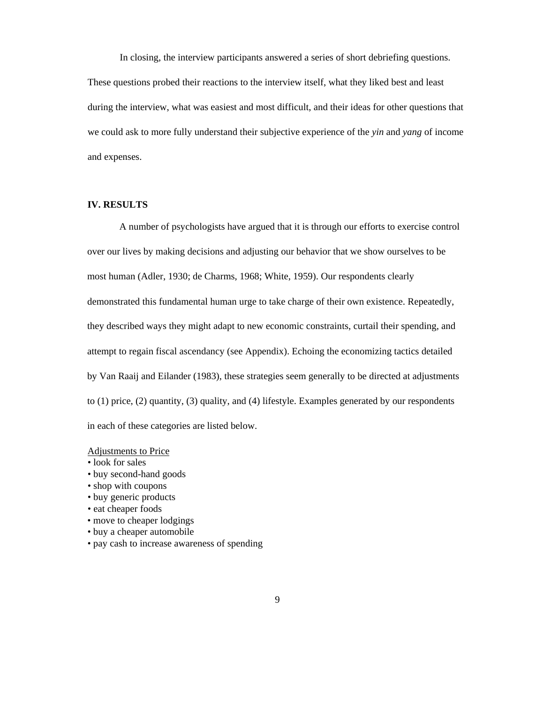In closing, the interview participants answered a series of short debriefing questions.

These questions probed their reactions to the interview itself, what they liked best and least during the interview, what was easiest and most difficult, and their ideas for other questions that we could ask to more fully understand their subjective experience of the *yin* and *yang* of income and expenses.

## **IV. RESULTS**

A number of psychologists have argued that it is through our efforts to exercise control over our lives by making decisions and adjusting our behavior that we show ourselves to be most human (Adler, 1930; de Charms, 1968; White, 1959). Our respondents clearly demonstrated this fundamental human urge to take charge of their own existence. Repeatedly, they described ways they might adapt to new economic constraints, curtail their spending, and attempt to regain fiscal ascendancy (see Appendix). Echoing the economizing tactics detailed by Van Raaij and Eilander (1983), these strategies seem generally to be directed at adjustments to (1) price, (2) quantity, (3) quality, and (4) lifestyle. Examples generated by our respondents in each of these categories are listed below.

#### Adjustments to Price

- look for sales
- buy second-hand goods
- shop with coupons
- buy generic products
- eat cheaper foods
- move to cheaper lodgings
- buy a cheaper automobile
- pay cash to increase awareness of spending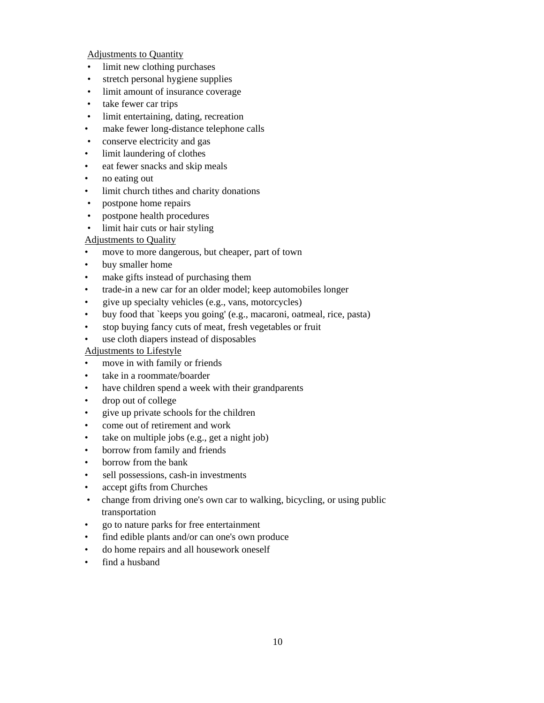Adjustments to Quantity

- limit new clothing purchases
- stretch personal hygiene supplies
- limit amount of insurance coverage
- take fewer car trips
- limit entertaining, dating, recreation
- make fewer long-distance telephone calls
- conserve electricity and gas
- limit laundering of clothes
- eat fewer snacks and skip meals
- no eating out
- limit church tithes and charity donations
- postpone home repairs
- postpone health procedures
- limit hair cuts or hair styling

## Adjustments to Quality

- move to more dangerous, but cheaper, part of town
- buy smaller home
- make gifts instead of purchasing them
- trade-in a new car for an older model; keep automobiles longer
- give up specialty vehicles (e.g., vans, motorcycles)
- buy food that `keeps you going' (e.g., macaroni, oatmeal, rice, pasta)
- stop buying fancy cuts of meat, fresh vegetables or fruit
- use cloth diapers instead of disposables

## Adjustments to Lifestyle

- move in with family or friends
- take in a roommate/boarder
- have children spend a week with their grandparents
- drop out of college
- give up private schools for the children
- come out of retirement and work
- take on multiple jobs (e.g., get a night job)
- borrow from family and friends
- borrow from the bank
- sell possessions, cash-in investments
- accept gifts from Churches
- change from driving one's own car to walking, bicycling, or using public transportation
- go to nature parks for free entertainment
- find edible plants and/or can one's own produce
- do home repairs and all housework oneself
- find a husband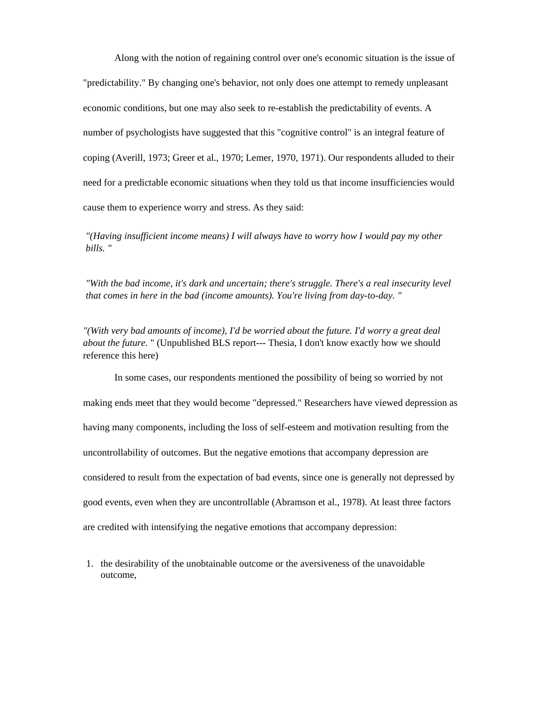Along with the notion of regaining control over one's economic situation is the issue of "predictability." By changing one's behavior, not only does one attempt to remedy unpleasant economic conditions, but one may also seek to re-establish the predictability of events. A number of psychologists have suggested that this "cognitive control" is an integral feature of coping (Averill, 1973; Greer et al., 1970; Lemer, 1970, 1971). Our respondents alluded to their need for a predictable economic situations when they told us that income insufficiencies would cause them to experience worry and stress. As they said:

*"(Having insufficient income means) I will always have to worry how I would pay my other bills. "*

*"With the bad income, it's dark and uncertain; there's struggle. There's a real insecurity level that comes in here in the bad (income amounts). You're living from day-to-day. "*

*"(With very bad amounts of income), I'd be worried about the future. I'd worry a great deal about the future.* " (Unpublished BLS report--- Thesia, I don't know exactly how we should reference this here)

In some cases, our respondents mentioned the possibility of being so worried by not making ends meet that they would become "depressed." Researchers have viewed depression as having many components, including the loss of self-esteem and motivation resulting from the uncontrollability of outcomes. But the negative emotions that accompany depression are considered to result from the expectation of bad events, since one is generally not depressed by good events, even when they are uncontrollable (Abramson et al., 1978). At least three factors are credited with intensifying the negative emotions that accompany depression:

1. the desirability of the unobtainable outcome or the aversiveness of the unavoidable outcome,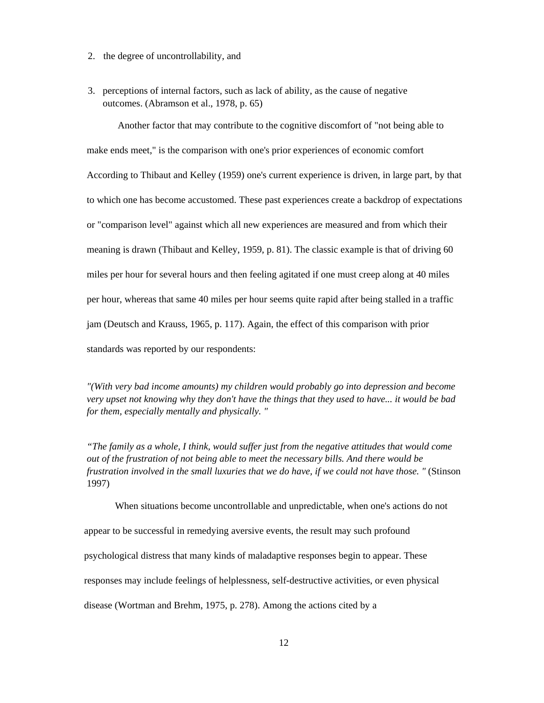- 2. the degree of uncontrollability, and
- 3. perceptions of internal factors, such as lack of ability, as the cause of negative outcomes. (Abramson et al., 1978, p. 65)

Another factor that may contribute to the cognitive discomfort of "not being able to make ends meet," is the comparison with one's prior experiences of economic comfort According to Thibaut and Kelley (1959) one's current experience is driven, in large part, by that to which one has become accustomed. These past experiences create a backdrop of expectations or "comparison level" against which all new experiences are measured and from which their meaning is drawn (Thibaut and Kelley, 1959, p. 81). The classic example is that of driving 60 miles per hour for several hours and then feeling agitated if one must creep along at 40 miles per hour, whereas that same 40 miles per hour seems quite rapid after being stalled in a traffic jam (Deutsch and Krauss, 1965, p. 117). Again, the effect of this comparison with prior standards was reported by our respondents:

*"(With very bad income amounts) my children would probably go into depression and become very upset not knowing why they don't have the things that they used to have... it would be bad for them, especially mentally and physically. "*

*"The family as a whole, I think, would suffer just from the negative attitudes that would come out of the frustration of not being able to meet the necessary bills. And there would be frustration involved in the small luxuries that we do have, if we could not have those. "* (Stinson 1997)

When situations become uncontrollable and unpredictable, when one's actions do not appear to be successful in remedying aversive events, the result may such profound psychological distress that many kinds of maladaptive responses begin to appear. These responses may include feelings of helplessness, self-destructive activities, or even physical disease (Wortman and Brehm, 1975, p. 278). Among the actions cited by a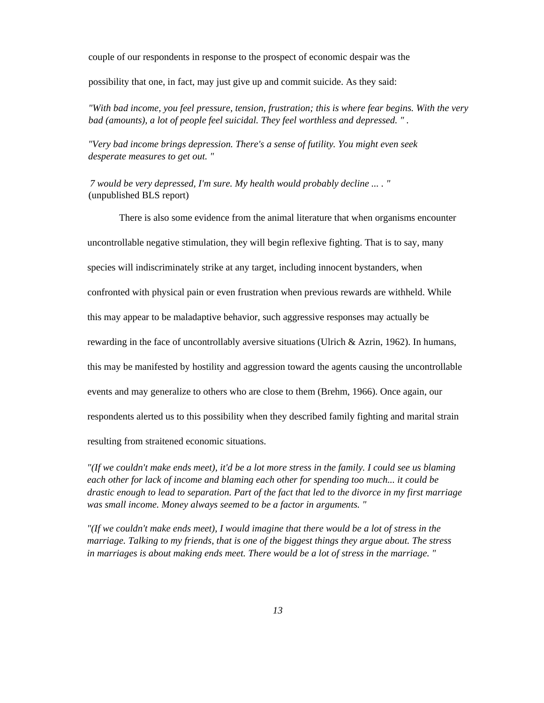couple of our respondents in response to the prospect of economic despair was the

possibility that one, in fact, may just give up and commit suicide. As they said:

*"With bad income, you feel pressure, tension, frustration; this is where fear begins. With the very bad (amounts), a lot of people feel suicidal. They feel worthless and depressed. " .*

*"Very bad income brings depression. There's a sense of futility. You might even seek desperate measures to get out. "*

*7 would be very depressed, I'm sure. My health would probably decline ... . "* (unpublished BLS report)

There is also some evidence from the animal literature that when organisms encounter uncontrollable negative stimulation, they will begin reflexive fighting. That is to say, many species will indiscriminately strike at any target, including innocent bystanders, when confronted with physical pain or even frustration when previous rewards are withheld. While this may appear to be maladaptive behavior, such aggressive responses may actually be rewarding in the face of uncontrollably aversive situations (Ulrich & Azrin, 1962). In humans, this may be manifested by hostility and aggression toward the agents causing the uncontrollable events and may generalize to others who are close to them (Brehm, 1966). Once again, our respondents alerted us to this possibility when they described family fighting and marital strain resulting from straitened economic situations.

*"(If we couldn't make ends meet), it'd be a lot more stress in the family. I could see us blaming each other for lack of income and blaming each other for spending too much... it could be drastic enough to lead to separation. Part of the fact that led to the divorce in my first marriage was small income. Money always seemed to be a factor in arguments. "*

*"(If we couldn't make ends meet), I would imagine that there would be a lot of stress in the marriage. Talking to my friends, that is one of the biggest things they argue about. The stress in marriages is about making ends meet. There would be a lot of stress in the marriage. "*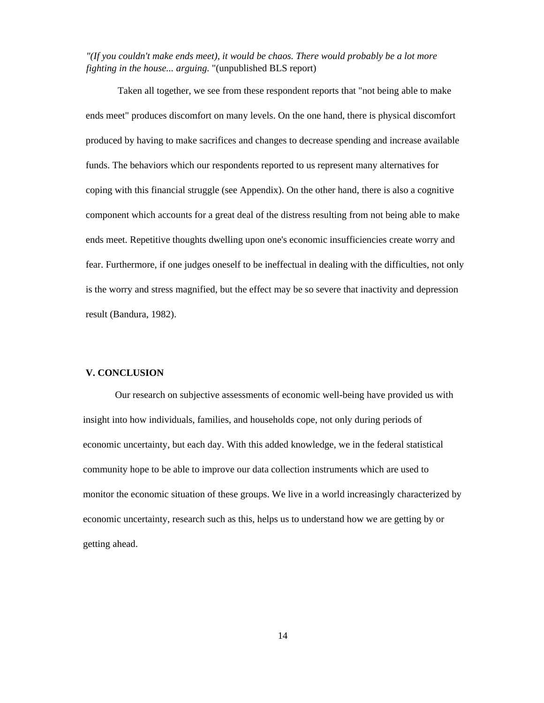*"(If you couldn't make ends meet), it would be chaos. There would probably be a lot more fighting in the house... arguing.* "(unpublished BLS report)

Taken all together, we see from these respondent reports that "not being able to make ends meet" produces discomfort on many levels. On the one hand, there is physical discomfort produced by having to make sacrifices and changes to decrease spending and increase available funds. The behaviors which our respondents reported to us represent many alternatives for coping with this financial struggle (see Appendix). On the other hand, there is also a cognitive component which accounts for a great deal of the distress resulting from not being able to make ends meet. Repetitive thoughts dwelling upon one's economic insufficiencies create worry and fear. Furthermore, if one judges oneself to be ineffectual in dealing with the difficulties, not only is the worry and stress magnified, but the effect may be so severe that inactivity and depression result (Bandura, 1982).

#### **V. CONCLUSION**

Our research on subjective assessments of economic well-being have provided us with insight into how individuals, families, and households cope, not only during periods of economic uncertainty, but each day. With this added knowledge, we in the federal statistical community hope to be able to improve our data collection instruments which are used to monitor the economic situation of these groups. We live in a world increasingly characterized by economic uncertainty, research such as this, helps us to understand how we are getting by or getting ahead.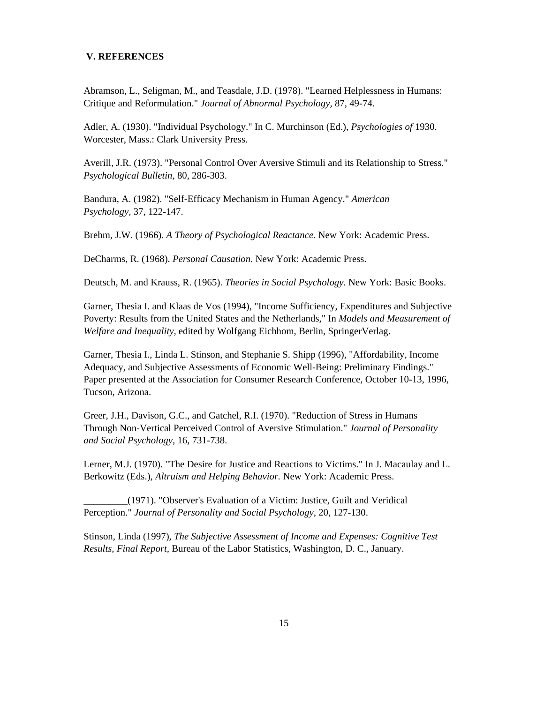#### **V. REFERENCES**

Abramson, L., Seligman, M., and Teasdale, J.D. (1978). "Learned Helplessness in Humans: Critique and Reformulation." *Journal of Abnormal Psychology,* 87, 49-74.

Adler, A. (1930). "Individual Psychology." In C. Murchinson (Ed.), *Psychologies of* 1930. Worcester, Mass.: Clark University Press.

Averill, J.R. (1973). "Personal Control Over Aversive Stimuli and its Relationship to Stress." *Psychological Bulletin,* 80, 286-303.

Bandura, A. (1982). "Self-Efficacy Mechanism in Human Agency." *American Psychology,* 37, 122-147.

Brehm, J.W. (1966). *A Theory of Psychological Reactance.* New York: Academic Press.

DeCharms, R. (1968). *Personal Causation.* New York: Academic Press.

Deutsch, M. and Krauss, R. (1965). *Theories in Social Psychology.* New York: Basic Books.

Garner, Thesia I. and Klaas de Vos (1994), "Income Sufficiency, Expenditures and Subjective Poverty: Results from the United States and the Netherlands," In *Models and Measurement of Welfare and Inequality,* edited by Wolfgang Eichhom, Berlin, SpringerVerlag.

Garner, Thesia I., Linda L. Stinson, and Stephanie S. Shipp (1996), "Affordability, Income Adequacy, and Subjective Assessments of Economic Well-Being: Preliminary Findings." Paper presented at the Association for Consumer Research Conference, October 10-13, 1996, Tucson, Arizona.

Greer, J.H., Davison, G.C., and Gatchel, R.I. (1970). "Reduction of Stress in Humans Through Non-Vertical Perceived Control of Aversive Stimulation." *Journal of Personality and Social Psychology,* 16, 731-738.

Lerner, M.J. (1970). "The Desire for Justice and Reactions to Victims." In J. Macaulay and L. Berkowitz (Eds.), *Altruism and Helping Behavior.* New York: Academic Press.

\_\_\_\_\_\_\_\_\_(1971). "Observer's Evaluation of a Victim: Justice, Guilt and Veridical Perception." *Journal of Personality and Social Psychology,* 20, 127-130.

Stinson, Linda (1997), *The Subjective Assessment of Income and Expenses: Cognitive Test Results, Final Report,* Bureau of the Labor Statistics, Washington, D. C., January.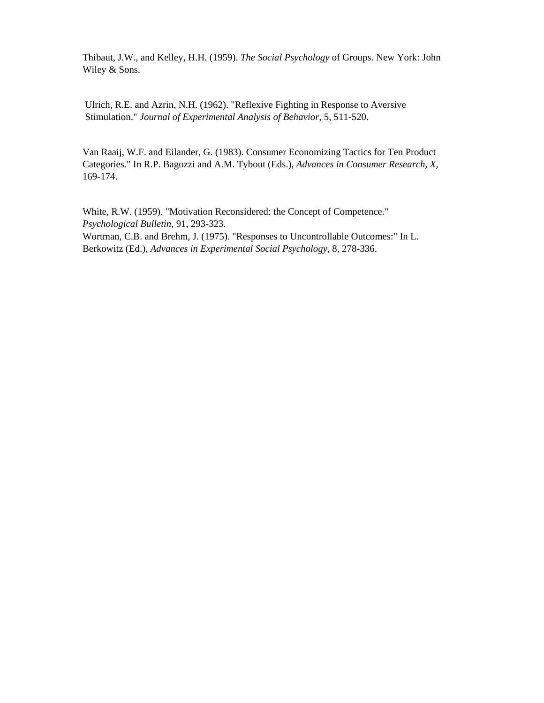Thibaut, J.W., and Kelley, H.H. (1959). *The Social Psychology* of Groups. New York: John Wiley & Sons.

Ulrich, R.E. and Azrin, N.H. (1962). "Reflexive Fighting in Response to Aversive Stimulation." *Journal of Experimental Analysis of Behavior,* 5, 511-520.

Van Raaij, W.F. and Eilander, G. (1983). Consumer Economizing Tactics for Ten Product Categories." In R.P. Bagozzi and A.M. Tybout (Eds.), *Advances in Consumer Research, X,*  169-174.

White, R.W. (1959). "Motivation Reconsidered: the Concept of Competence." *Psychological Bulletin,* 91, 293-323. Wortman, C.B. and Brehm, J. (1975). "Responses to Uncontrollable Outcomes:" In L. Berkowitz (Ed.), *Advances in Experimental Social Psychology,* 8, 278-336.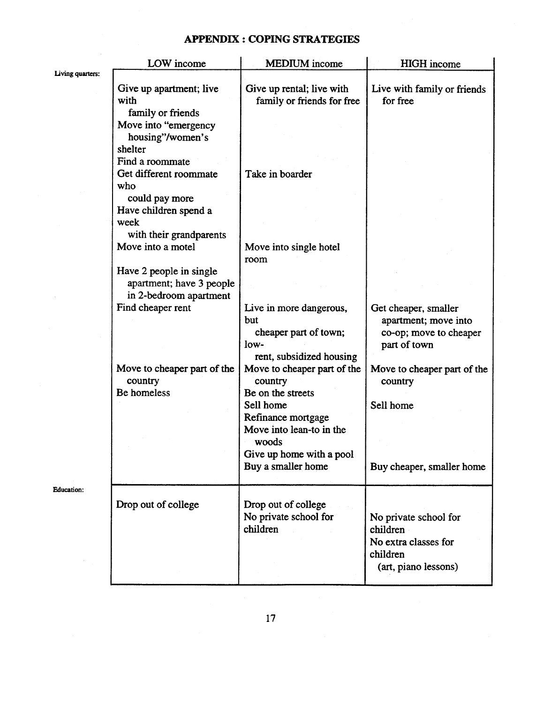## **APPENDIX : COPING STRATEGIES**

|                   | LOW income                                                                                                                    | <b>MEDIUM</b> income                                                                                      | <b>HIGH</b> income                                                                            |
|-------------------|-------------------------------------------------------------------------------------------------------------------------------|-----------------------------------------------------------------------------------------------------------|-----------------------------------------------------------------------------------------------|
| Living quarters:  | Give up apartment; live<br>with<br>family or friends<br>Move into "emergency<br>housing"/women's<br>shelter                   | Give up rental; live with<br>family or friends for free                                                   | Live with family or friends<br>for free                                                       |
|                   | Find a roommate<br>Get different roommate<br>who<br>could pay more<br>Have children spend a<br>week                           | Take in boarder                                                                                           |                                                                                               |
|                   | with their grandparents<br>Move into a motel<br>Have 2 people in single<br>apartment; have 3 people<br>in 2-bedroom apartment | Move into single hotel<br>room                                                                            |                                                                                               |
|                   | Find cheaper rent                                                                                                             | Live in more dangerous,<br>but<br>cheaper part of town;<br>$low-$<br>rent, subsidized housing             | Get cheaper, smaller<br>apartment; move into<br>co-op; move to cheaper<br>part of town        |
|                   | Move to cheaper part of the<br>country<br>Be homeless                                                                         | Move to cheaper part of the<br>country<br>Be on the streets<br>Sell home                                  | Move to cheaper part of the<br>country<br>Sell home                                           |
|                   |                                                                                                                               | Refinance mortgage<br>Move into lean-to in the<br>woods<br>Give up home with a pool<br>Buy a smaller home | Buy cheaper, smaller home                                                                     |
| <b>Education:</b> | Drop out of college                                                                                                           | Drop out of college<br>No private school for<br>children                                                  | No private school for<br>children<br>No extra classes for<br>children<br>(art, piano lessons) |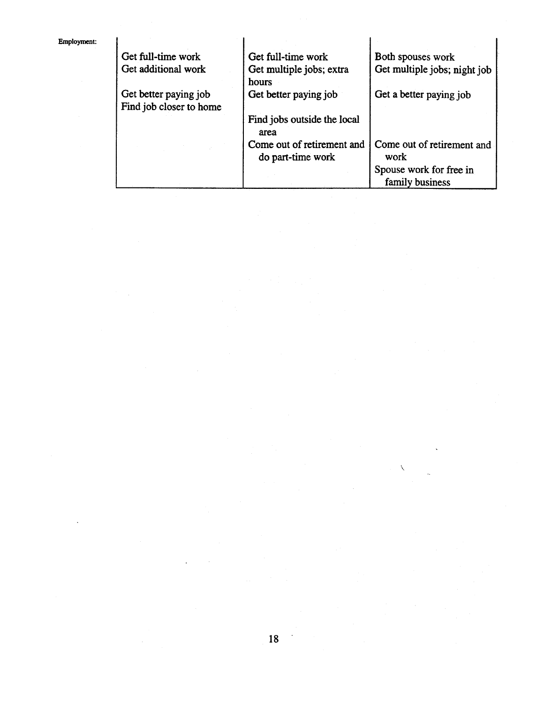| Get full-time work                               | Get full-time work                              | Both spouses work                          |  |
|--------------------------------------------------|-------------------------------------------------|--------------------------------------------|--|
| Get additional work                              | Get multiple jobs; extra<br>hours               | Get multiple jobs; night job               |  |
| Get better paying job<br>Find job closer to home | Get better paying job                           | Get a better paying job                    |  |
|                                                  | Find jobs outside the local<br>area             |                                            |  |
|                                                  | Come out of retirement and<br>do part-time work | Come out of retirement and<br>work         |  |
|                                                  |                                                 | Spouse work for free in<br>family business |  |

 $\overline{\phantom{a}}$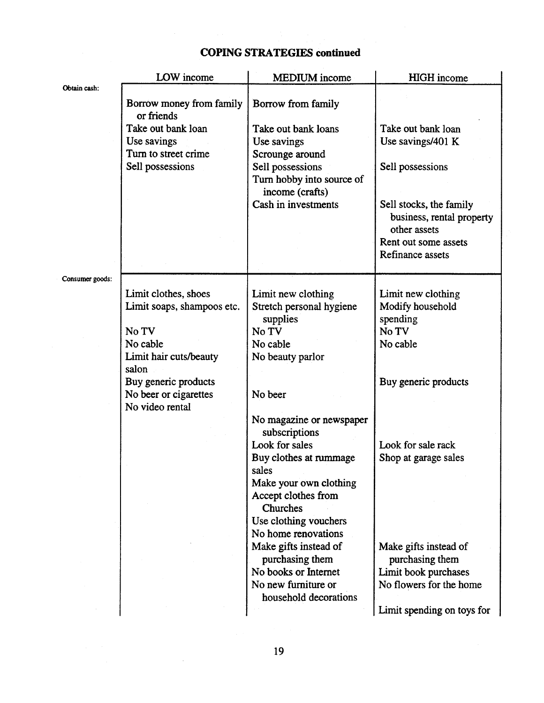|                 | LOW income                          | <b>MEDIUM</b> income                          | <b>HIGH</b> income         |
|-----------------|-------------------------------------|-----------------------------------------------|----------------------------|
| Obtain cash:    |                                     |                                               |                            |
|                 | Borrow money from family            | Borrow from family                            |                            |
|                 | or friends                          |                                               |                            |
|                 | Take out bank loan                  | Take out bank loans                           | Take out bank loan         |
|                 | Use savings<br>Turn to street crime | Use savings                                   | Use savings/401 K          |
|                 | Sell possessions                    | Scrounge around                               | Sell possessions           |
|                 |                                     | Sell possessions<br>Turn hobby into source of |                            |
|                 |                                     | income (crafts)                               |                            |
|                 |                                     | Cash in investments                           | Sell stocks, the family    |
|                 |                                     |                                               | business, rental property  |
|                 |                                     |                                               | other assets               |
|                 |                                     |                                               | Rent out some assets       |
|                 |                                     |                                               | Refinance assets           |
|                 |                                     |                                               |                            |
| Consumer goods: |                                     |                                               |                            |
|                 | Limit clothes, shoes                | Limit new clothing                            | Limit new clothing         |
|                 | Limit soaps, shampoos etc.          | Stretch personal hygiene                      | Modify household           |
|                 | No TV                               | supplies<br>No TV                             | spending<br>No TV          |
|                 | No cable                            | No cable                                      | No cable                   |
|                 | Limit hair cuts/beauty              | No beauty parlor                              |                            |
|                 | salon                               |                                               |                            |
|                 | Buy generic products                |                                               | Buy generic products       |
|                 | No beer or cigarettes               | No beer                                       |                            |
|                 | No video rental                     |                                               |                            |
|                 |                                     | No magazine or newspaper                      |                            |
|                 |                                     | subscriptions                                 |                            |
|                 |                                     | Look for sales                                | Look for sale rack         |
|                 |                                     | Buy clothes at rummage                        | Shop at garage sales       |
|                 |                                     | sales                                         |                            |
|                 |                                     | Make your own clothing<br>Accept clothes from |                            |
|                 |                                     | Churches                                      |                            |
|                 |                                     | Use clothing vouchers                         |                            |
|                 |                                     | No home renovations                           |                            |
|                 |                                     | Make gifts instead of                         | Make gifts instead of      |
|                 |                                     | purchasing them                               | purchasing them            |
|                 |                                     | No books or Internet                          | Limit book purchases       |
|                 |                                     | No new furniture or                           | No flowers for the home    |
|                 |                                     | household decorations                         |                            |
|                 |                                     |                                               | Limit spending on toys for |

# **COPING STRATEGIES continued**

 $\bar{z}$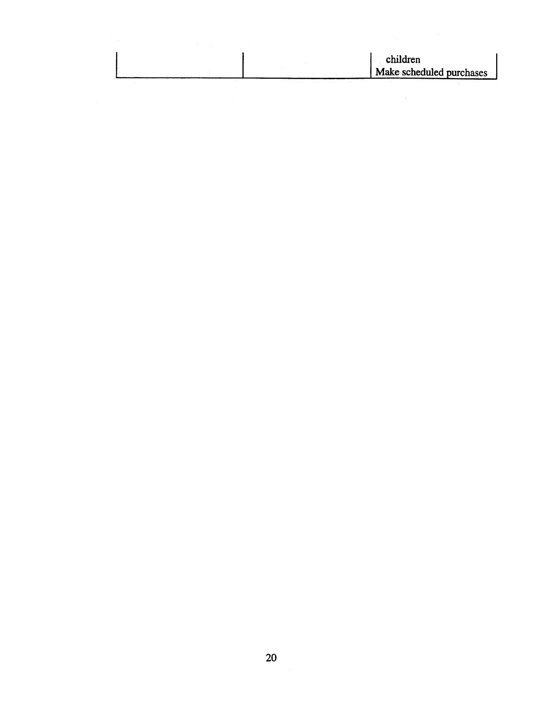| children                 |
|--------------------------|
|                          |
| Make scheduled purchases |
|                          |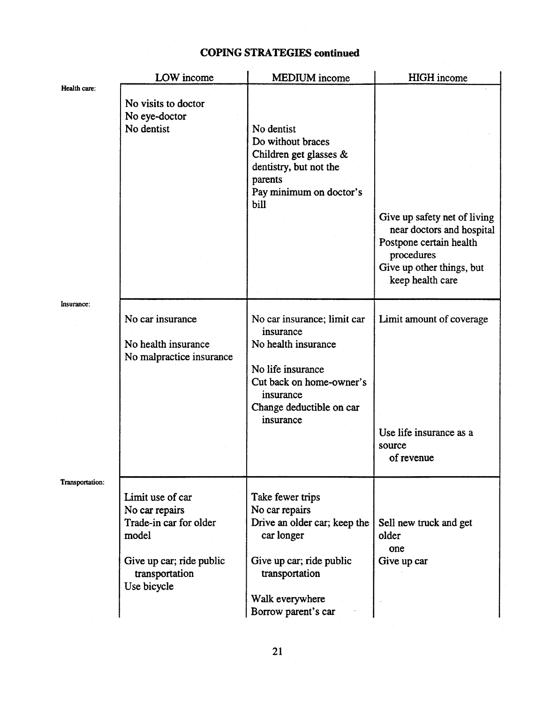|                 | LOW income                                                                                                                         | <b>MEDIUM</b> income                                                                                                                                                     | <b>HIGH</b> income                                                                                                                                  |
|-----------------|------------------------------------------------------------------------------------------------------------------------------------|--------------------------------------------------------------------------------------------------------------------------------------------------------------------------|-----------------------------------------------------------------------------------------------------------------------------------------------------|
| Health care:    | No visits to doctor<br>No eye-doctor<br>No dentist                                                                                 | No dentist<br>Do without braces<br>Children get glasses $\&$<br>dentistry, but not the<br>parents<br>Pay minimum on doctor's<br>bill                                     | Give up safety net of living<br>near doctors and hospital<br>Postpone certain health<br>procedures<br>Give up other things, but<br>keep health care |
| Insurance:      | No car insurance<br>No health insurance<br>No malpractice insurance                                                                | No car insurance; limit car<br>insurance<br>No health insurance<br>No life insurance<br>Cut back on home-owner's<br>insurance<br>Change deductible on car<br>insurance   | Limit amount of coverage<br>Use life insurance as a<br>source<br>of revenue                                                                         |
| Transportation: | Limit use of car<br>No car repairs<br>Trade-in car for older<br>model<br>Give up car; ride public<br>transportation<br>Use bicycle | Take fewer trips<br>No car repairs<br>Drive an older car; keep the<br>car longer<br>Give up car; ride public<br>transportation<br>Walk everywhere<br>Borrow parent's car | Sell new truck and get<br>older<br>one<br>Give up car                                                                                               |

## **COPING STRATEGIES continued**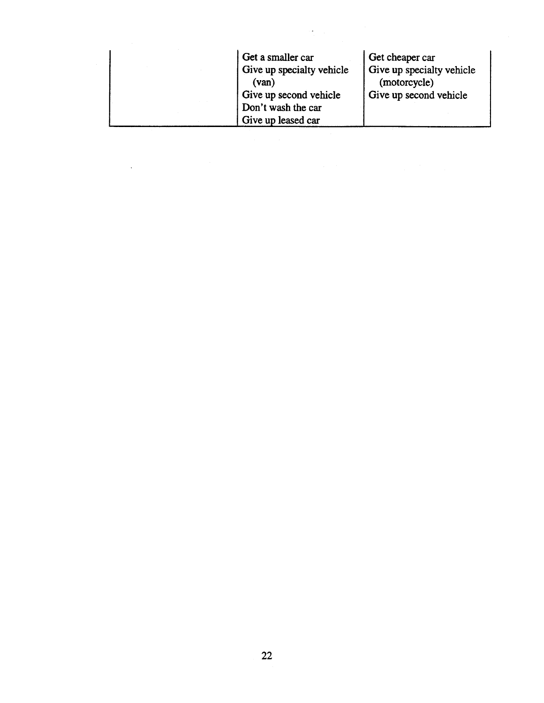| Get a smaller car<br>Give up specialty vehicle<br>(van)            | Get cheaper car<br>Give up specialty vehicle<br>(motorcycle) |
|--------------------------------------------------------------------|--------------------------------------------------------------|
| Give up second vehicle<br>Don't wash the car<br>Give up leased car | Give up second vehicle                                       |

 $\ddot{\phantom{0}}$ 

 $\ddot{\phantom{0}}$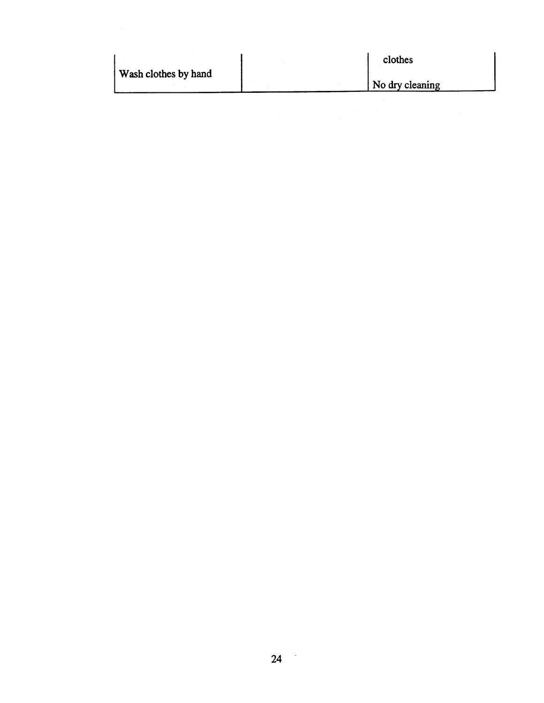| Wash clothes by hand | clothes<br>No dry cleaning |  |
|----------------------|----------------------------|--|
|                      |                            |  |

 $\mathcal{A}$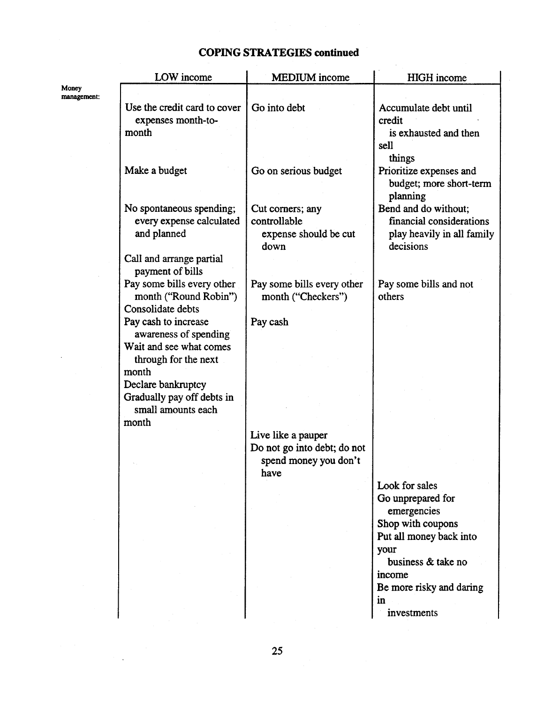## **COPING STRATEGIES continued**

|                      | LOW income                                                               | <b>MEDIUM</b> income                             | <b>HIGH</b> income                                             |
|----------------------|--------------------------------------------------------------------------|--------------------------------------------------|----------------------------------------------------------------|
| Money<br>management: |                                                                          |                                                  |                                                                |
|                      | Use the credit card to cover                                             | Go into debt                                     | Accumulate debt until                                          |
|                      | expenses month-to-                                                       |                                                  | credit                                                         |
|                      | month                                                                    |                                                  | is exhausted and then                                          |
|                      |                                                                          |                                                  | sell                                                           |
|                      |                                                                          |                                                  | things                                                         |
|                      | Make a budget                                                            | Go on serious budget                             | Prioritize expenses and<br>budget; more short-term<br>planning |
|                      | No spontaneous spending;                                                 | Cut corners; any                                 | Bend and do without;                                           |
|                      | every expense calculated                                                 | controllable                                     | financial considerations                                       |
|                      | and planned                                                              | expense should be cut<br>down                    | play heavily in all family<br>decisions                        |
|                      | Call and arrange partial<br>payment of bills                             |                                                  |                                                                |
|                      | Pay some bills every other<br>month ("Round Robin")<br>Consolidate debts | Pay some bills every other<br>month ("Checkers") | Pay some bills and not<br>others                               |
|                      | Pay cash to increase                                                     | Pay cash                                         |                                                                |
|                      | awareness of spending                                                    |                                                  |                                                                |
|                      | Wait and see what comes                                                  |                                                  |                                                                |
|                      | through for the next                                                     |                                                  |                                                                |
|                      | month                                                                    |                                                  |                                                                |
|                      | Declare bankruptcy                                                       |                                                  |                                                                |
|                      | Gradually pay off debts in                                               |                                                  |                                                                |
|                      | small amounts each                                                       |                                                  |                                                                |
|                      | month                                                                    |                                                  |                                                                |
|                      |                                                                          | Live like a pauper                               |                                                                |
|                      |                                                                          | Do not go into debt; do not                      |                                                                |
|                      |                                                                          | spend money you don't                            |                                                                |
|                      |                                                                          | have                                             |                                                                |
|                      |                                                                          |                                                  | Look for sales                                                 |
|                      |                                                                          |                                                  | Go unprepared for                                              |
|                      |                                                                          |                                                  | emergencies                                                    |
|                      |                                                                          |                                                  | Shop with coupons                                              |
|                      |                                                                          |                                                  | Put all money back into                                        |
|                      |                                                                          |                                                  | your<br>business & take no                                     |
|                      |                                                                          |                                                  |                                                                |
|                      |                                                                          |                                                  | income                                                         |
|                      |                                                                          |                                                  | Be more risky and daring                                       |
|                      |                                                                          |                                                  | in                                                             |
|                      |                                                                          |                                                  | investments                                                    |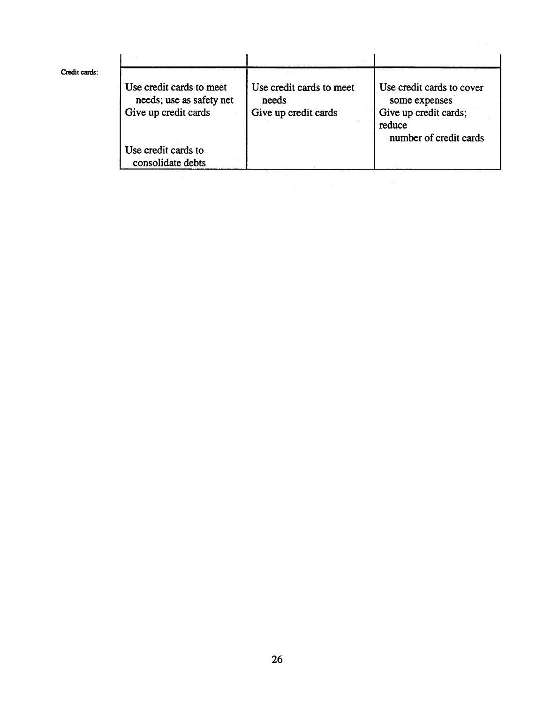| Use credit cards to meet<br>needs; use as safety net | Use credit cards to meet<br>needs | Use credit cards to cover<br>some expenses                |
|------------------------------------------------------|-----------------------------------|-----------------------------------------------------------|
| Give up credit cards                                 | Give up credit cards              | Give up credit cards;<br>reduce<br>number of credit cards |
| Use credit cards to<br>consolidate debts             |                                   |                                                           |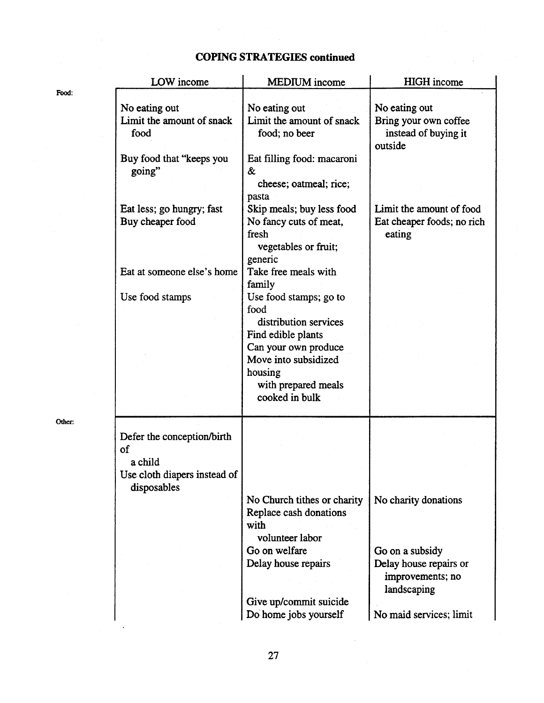# **COPING STRATEGIES continued**

|        | LOW income                                                                                 | <b>MEDIUM</b> income                                                                                                                                    | <b>HIGH</b> income                                                                    |
|--------|--------------------------------------------------------------------------------------------|---------------------------------------------------------------------------------------------------------------------------------------------------------|---------------------------------------------------------------------------------------|
| Food:  | No eating out<br>Limit the amount of snack<br>food<br>Buy food that "keeps you<br>going"   | No eating out<br>Limit the amount of snack<br>food; no beer<br>Eat filling food: macaroni<br>&<br>cheese; oatmeal; rice;                                | No eating out<br>Bring your own coffee<br>instead of buying it<br>outside             |
|        | Eat less; go hungry; fast<br>Buy cheaper food                                              | pasta<br>Skip meals; buy less food<br>No fancy cuts of meat,<br>fresh<br>vegetables or fruit;<br>generic                                                | Limit the amount of food<br>Eat cheaper foods; no rich<br>eating                      |
|        | Eat at someone else's home<br>Use food stamps                                              | Take free meals with<br>family<br>Use food stamps; go to                                                                                                |                                                                                       |
|        |                                                                                            | food<br>distribution services<br>Find edible plants<br>Can your own produce<br>Move into subsidized<br>housing<br>with prepared meals<br>cooked in bulk |                                                                                       |
| Other: | Defer the conception/birth<br>of<br>a child<br>Use cloth diapers instead of<br>disposables |                                                                                                                                                         |                                                                                       |
|        |                                                                                            | No Church tithes or charity<br>Replace cash donations<br>with<br>volunteer labor<br>Go on welfare<br>Delay house repairs                                | No charity donations<br>Go on a subsidy<br>Delay house repairs or<br>improvements; no |
|        |                                                                                            | Give up/commit suicide<br>Do home jobs yourself                                                                                                         | landscaping<br>No maid services; limit                                                |